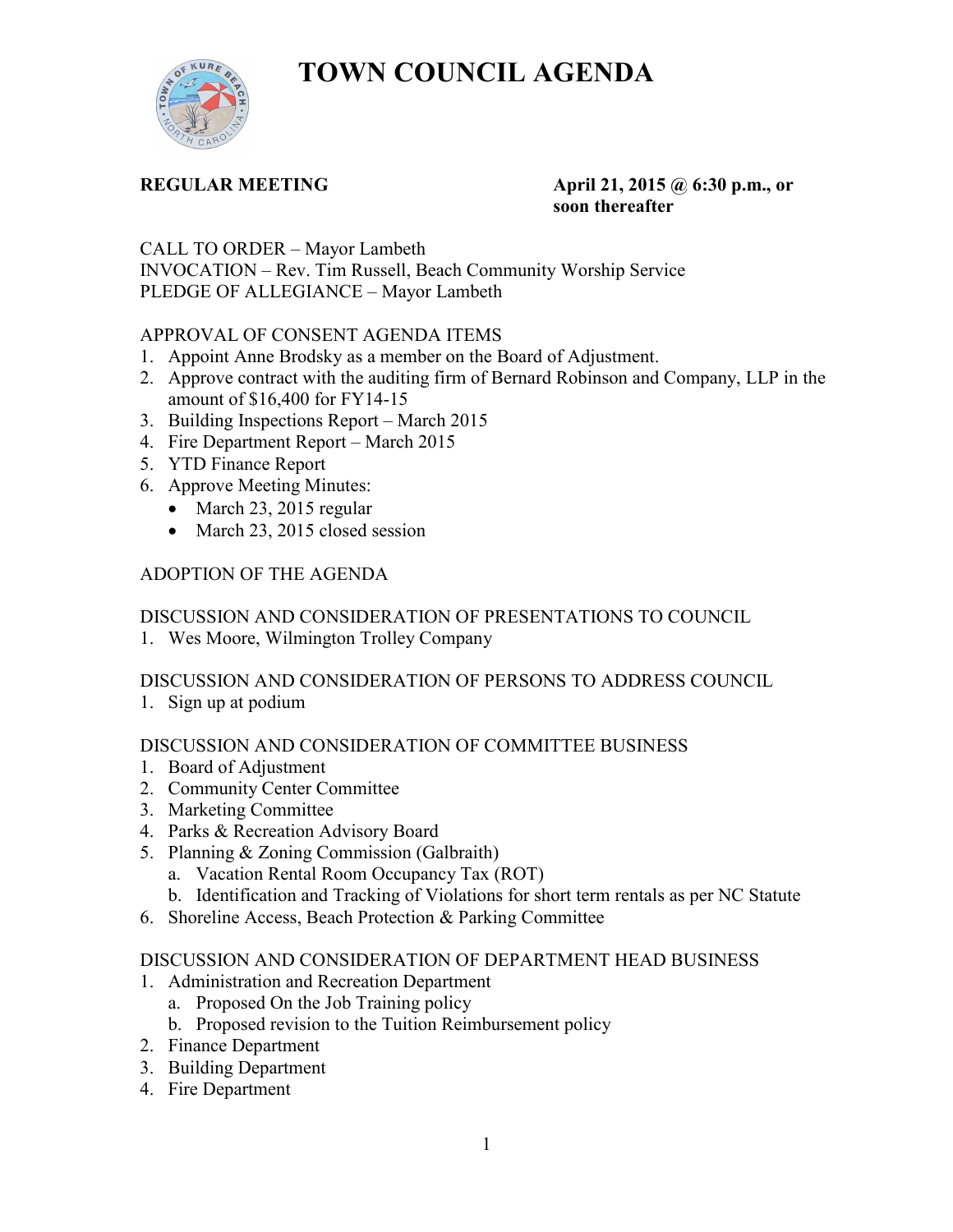**TOWN COUNCIL AGENDA** 



#### **REGULAR MEETING 4.1.1.1.2015 @ 6:30 p.m., or soon thereafter**

CALL TO ORDER – Mayor Lambeth

INVOCATION – Rev. Tim Russell, Beach Community Worship Service PLEDGE OF ALLEGIANCE – Mayor Lambeth

## APPROVAL OF CONSENT AGENDA ITEMS

- 1. Appoint Anne Brodsky as a member on the Board of Adjustment.
- 2. Approve contract with the auditing firm of Bernard Robinson and Company, LLP in the amount of \$16,400 for FY14-15
- 3. Building Inspections Report March 2015
- 4. Fire Department Report March 2015
- 5. YTD Finance Report
- 6. Approve Meeting Minutes:
	- March 23, 2015 regular
	- March 23, 2015 closed session

# ADOPTION OF THE AGENDA

# DISCUSSION AND CONSIDERATION OF PRESENTATIONS TO COUNCIL

1. Wes Moore, Wilmington Trolley Company

## DISCUSSION AND CONSIDERATION OF PERSONS TO ADDRESS COUNCIL

1. Sign up at podium

## DISCUSSION AND CONSIDERATION OF COMMITTEE BUSINESS

- 1. Board of Adjustment
- 2. Community Center Committee
- 3. Marketing Committee
- 4. Parks & Recreation Advisory Board
- 5. Planning & Zoning Commission (Galbraith)
	- a. Vacation Rental Room Occupancy Tax (ROT)
	- b. Identification and Tracking of Violations for short term rentals as per NC Statute
- 6. Shoreline Access, Beach Protection & Parking Committee

## DISCUSSION AND CONSIDERATION OF DEPARTMENT HEAD BUSINESS

- 1. Administration and Recreation Department
	- a. Proposed On the Job Training policy
	- b. Proposed revision to the Tuition Reimbursement policy
- 2. Finance Department
- 3. Building Department
- 4. Fire Department